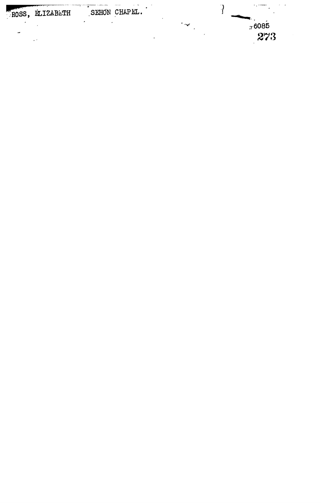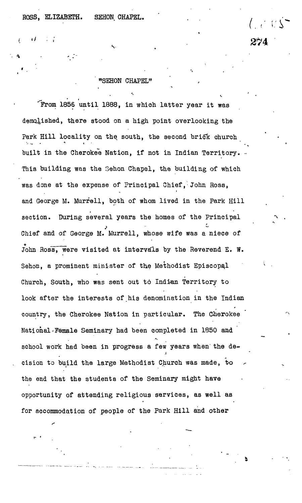## ROSS, ELIZABETH. SEHON CHAPEL. (1999).

274

## <sup>n</sup>SEHON CHAPEL"

• '

 $\sqrt{r}$ rom 1856 until 1888, in which latter year it was demolished, there stood on a high point overlooking the Park Hill locality on the south, the second brick church built in the Cherokee Nation, if not in Indian Territory. This building was the Sehon Chapel, the building of which was done at the expense of Principal Chief, John Ross, and George M. Murfell, both of whom lived in the Park Hill section. During several years the homes of the Principal Chief and of George M. Murrell, whose wife was a niece of John Ross, were visited at intervals by the Reverend E. W. Sehon, a prominent minister of the Methodist Episcopal Church, South, who was sent out to Indian Territory to look after the interests of his denomination in the Indian country, the Cherokee Nation in particular. The Cherokee National'Female Seminary had been completed in 1850 and school work had been in progress a few years when the decision to build the large Methodist Church was made, to the end that the students of the Seminary might have opportunity of attending religious services, as well as for accommodation of people of the Park Hill and other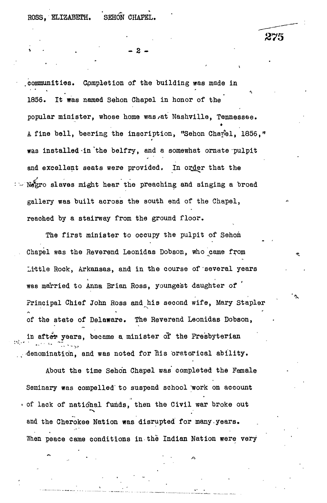**ROSS, ELIZABETH. SEHON CHAPEL.**

275

**- 2 -**

.communities. Completion of the building was made in 1856. It was named Sehon Chapel in honor of the popular minister, whose home was/at Nashville, Tennessee. A fine bell, bearing the inscription, "Sehon Chapel, 1856," was installed-in'the belfry, and a somewhat ornate pulpit and excellent seats were provided. In order that the Negro slaves might hear the preaching and singing a broad gallery was built across the south end of the Chapel, reached by a stairway from the ground floor.

The first minister to occupy the pulpit of Sehon Chapel was the Reverend Leonidas Dobson, who came from Little Rock, Arkansas, and in the course of several years was married to Anna Brian Ross, youngest daughter of Principal Chief John Ross and his second wife, Mary Stapler of the state of Delaware. The Reverend Leonidas Dobson, in after years, became a minister of the Presbyterian denomination, and was noted for his oratorical ability.

About the time Sehon Chapel was' completed the Female Seminary was compelled' to suspend school "work on account • of lack of national funds, then the Civil war broke out and the Cherokee Nation was disrupted for many-years. When peace came conditions in the Indian Nation were very